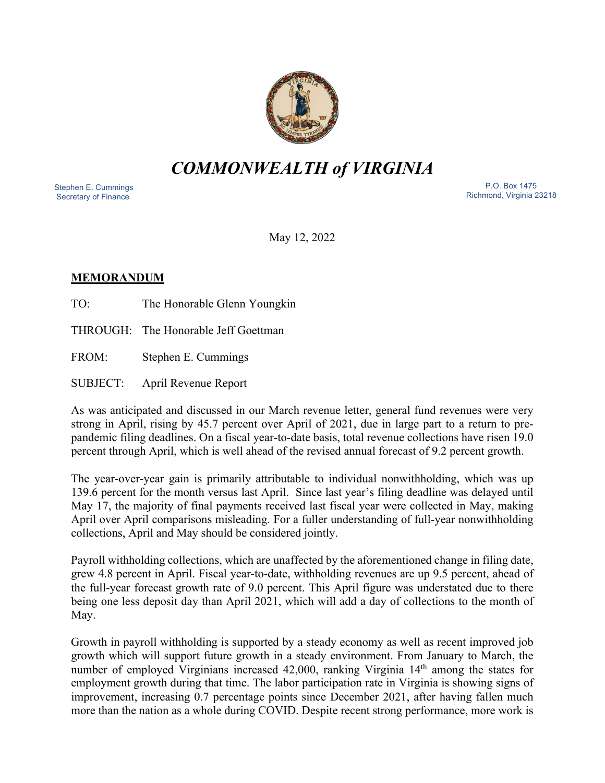

# *COMMONWEALTH of VIRGINIA*

 Stephen E. Cummings Secretary of Finance

 P.O. Box 1475 Richmond, Virginia 23218

May 12, 2022

#### **MEMORANDUM**

TO: The Honorable Glenn Youngkin

THROUGH: The Honorable Jeff Goettman

FROM: Stephen E. Cummings

SUBJECT: April Revenue Report

As was anticipated and discussed in our March revenue letter, general fund revenues were very strong in April, rising by 45.7 percent over April of 2021, due in large part to a return to prepandemic filing deadlines. On a fiscal year-to-date basis, total revenue collections have risen 19.0 percent through April, which is well ahead of the revised annual forecast of 9.2 percent growth.

The year-over-year gain is primarily attributable to individual nonwithholding, which was up 139.6 percent for the month versus last April. Since last year's filing deadline was delayed until May 17, the majority of final payments received last fiscal year were collected in May, making April over April comparisons misleading. For a fuller understanding of full-year nonwithholding collections, April and May should be considered jointly.

Payroll withholding collections, which are unaffected by the aforementioned change in filing date, grew 4.8 percent in April. Fiscal year-to-date, withholding revenues are up 9.5 percent, ahead of the full-year forecast growth rate of 9.0 percent. This April figure was understated due to there being one less deposit day than April 2021, which will add a day of collections to the month of May.

Growth in payroll withholding is supported by a steady economy as well as recent improved job growth which will support future growth in a steady environment. From January to March, the number of employed Virginians increased 42,000, ranking Virginia 14<sup>th</sup> among the states for employment growth during that time. The labor participation rate in Virginia is showing signs of improvement, increasing 0.7 percentage points since December 2021, after having fallen much more than the nation as a whole during COVID. Despite recent strong performance, more work is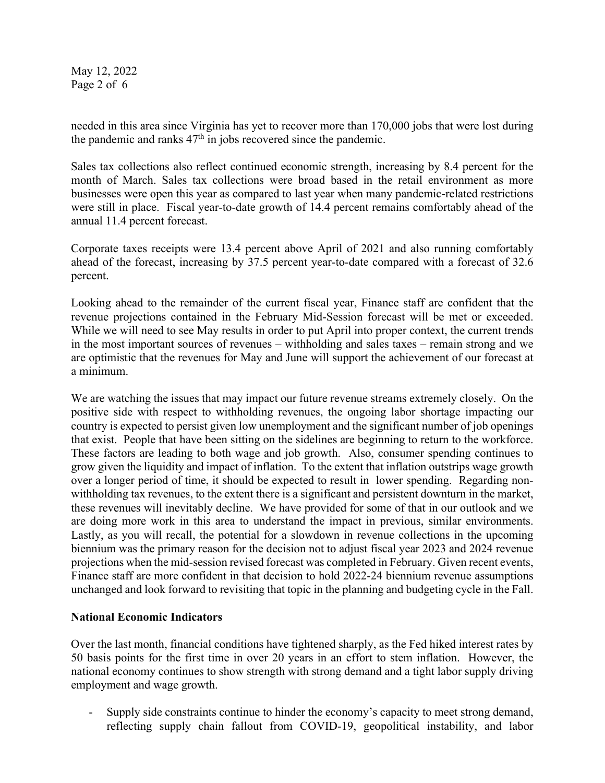May 12, 2022 Page 2 of 6

needed in this area since Virginia has yet to recover more than 170,000 jobs that were lost during the pandemic and ranks  $47<sup>th</sup>$  in jobs recovered since the pandemic.

Sales tax collections also reflect continued economic strength, increasing by 8.4 percent for the month of March. Sales tax collections were broad based in the retail environment as more businesses were open this year as compared to last year when many pandemic-related restrictions were still in place. Fiscal year-to-date growth of 14.4 percent remains comfortably ahead of the annual 11.4 percent forecast.

Corporate taxes receipts were 13.4 percent above April of 2021 and also running comfortably ahead of the forecast, increasing by 37.5 percent year-to-date compared with a forecast of 32.6 percent.

Looking ahead to the remainder of the current fiscal year, Finance staff are confident that the revenue projections contained in the February Mid-Session forecast will be met or exceeded. While we will need to see May results in order to put April into proper context, the current trends in the most important sources of revenues – withholding and sales taxes – remain strong and we are optimistic that the revenues for May and June will support the achievement of our forecast at a minimum.

We are watching the issues that may impact our future revenue streams extremely closely. On the positive side with respect to withholding revenues, the ongoing labor shortage impacting our country is expected to persist given low unemployment and the significant number of job openings that exist. People that have been sitting on the sidelines are beginning to return to the workforce. These factors are leading to both wage and job growth. Also, consumer spending continues to grow given the liquidity and impact of inflation. To the extent that inflation outstrips wage growth over a longer period of time, it should be expected to result in lower spending. Regarding nonwithholding tax revenues, to the extent there is a significant and persistent downturn in the market, these revenues will inevitably decline. We have provided for some of that in our outlook and we are doing more work in this area to understand the impact in previous, similar environments. Lastly, as you will recall, the potential for a slowdown in revenue collections in the upcoming biennium was the primary reason for the decision not to adjust fiscal year 2023 and 2024 revenue projections when the mid-session revised forecast was completed in February. Given recent events, Finance staff are more confident in that decision to hold 2022-24 biennium revenue assumptions unchanged and look forward to revisiting that topic in the planning and budgeting cycle in the Fall.

## **National Economic Indicators**

Over the last month, financial conditions have tightened sharply, as the Fed hiked interest rates by 50 basis points for the first time in over 20 years in an effort to stem inflation. However, the national economy continues to show strength with strong demand and a tight labor supply driving employment and wage growth.

- Supply side constraints continue to hinder the economy's capacity to meet strong demand, reflecting supply chain fallout from COVID-19, geopolitical instability, and labor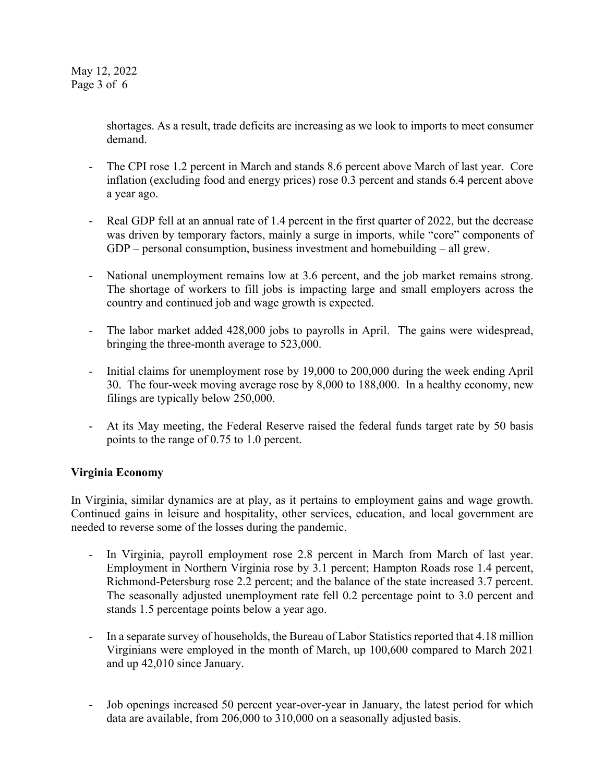shortages. As a result, trade deficits are increasing as we look to imports to meet consumer demand.

- The CPI rose 1.2 percent in March and stands 8.6 percent above March of last year. Core inflation (excluding food and energy prices) rose 0.3 percent and stands 6.4 percent above a year ago.
- Real GDP fell at an annual rate of 1.4 percent in the first quarter of 2022, but the decrease was driven by temporary factors, mainly a surge in imports, while "core" components of GDP – personal consumption, business investment and homebuilding – all grew.
- National unemployment remains low at 3.6 percent, and the job market remains strong. The shortage of workers to fill jobs is impacting large and small employers across the country and continued job and wage growth is expected.
- The labor market added 428,000 jobs to payrolls in April. The gains were widespread, bringing the three-month average to 523,000.
- Initial claims for unemployment rose by 19,000 to 200,000 during the week ending April 30. The four-week moving average rose by 8,000 to 188,000. In a healthy economy, new filings are typically below 250,000.
- At its May meeting, the Federal Reserve raised the federal funds target rate by 50 basis points to the range of 0.75 to 1.0 percent.

## **Virginia Economy**

In Virginia, similar dynamics are at play, as it pertains to employment gains and wage growth. Continued gains in leisure and hospitality, other services, education, and local government are needed to reverse some of the losses during the pandemic.

- In Virginia, payroll employment rose 2.8 percent in March from March of last year. Employment in Northern Virginia rose by 3.1 percent; Hampton Roads rose 1.4 percent, Richmond-Petersburg rose 2.2 percent; and the balance of the state increased 3.7 percent. The seasonally adjusted unemployment rate fell 0.2 percentage point to 3.0 percent and stands 1.5 percentage points below a year ago.
- In a separate survey of households, the Bureau of Labor Statistics reported that 4.18 million Virginians were employed in the month of March, up 100,600 compared to March 2021 and up 42,010 since January.
- Job openings increased 50 percent year-over-year in January, the latest period for which data are available, from 206,000 to 310,000 on a seasonally adjusted basis.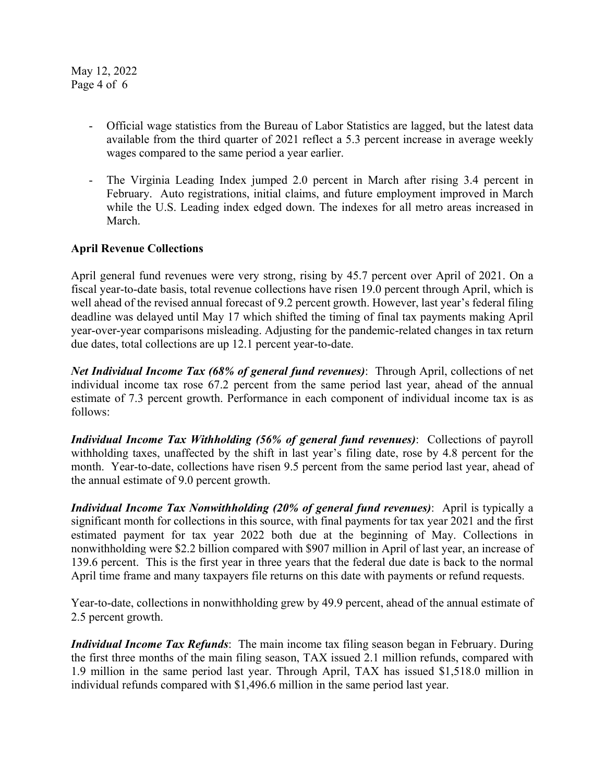May 12, 2022 Page 4 of 6

- Official wage statistics from the Bureau of Labor Statistics are lagged, but the latest data available from the third quarter of 2021 reflect a 5.3 percent increase in average weekly wages compared to the same period a year earlier.
- The Virginia Leading Index jumped 2.0 percent in March after rising 3.4 percent in February. Auto registrations, initial claims, and future employment improved in March while the U.S. Leading index edged down. The indexes for all metro areas increased in March.

## **April Revenue Collections**

April general fund revenues were very strong, rising by 45.7 percent over April of 2021. On a fiscal year-to-date basis, total revenue collections have risen 19.0 percent through April, which is well ahead of the revised annual forecast of 9.2 percent growth. However, last year's federal filing deadline was delayed until May 17 which shifted the timing of final tax payments making April year-over-year comparisons misleading. Adjusting for the pandemic-related changes in tax return due dates, total collections are up 12.1 percent year-to-date.

*Net Individual Income Tax (68% of general fund revenues)*: Through April, collections of net individual income tax rose 67.2 percent from the same period last year, ahead of the annual estimate of 7.3 percent growth. Performance in each component of individual income tax is as follows:

*Individual Income Tax Withholding (56% of general fund revenues)*: Collections of payroll withholding taxes, unaffected by the shift in last year's filing date, rose by 4.8 percent for the month. Year-to-date, collections have risen 9.5 percent from the same period last year, ahead of the annual estimate of 9.0 percent growth.

*Individual Income Tax Nonwithholding (20% of general fund revenues)*: April is typically a significant month for collections in this source, with final payments for tax year 2021 and the first estimated payment for tax year 2022 both due at the beginning of May. Collections in nonwithholding were \$2.2 billion compared with \$907 million in April of last year, an increase of 139.6 percent. This is the first year in three years that the federal due date is back to the normal April time frame and many taxpayers file returns on this date with payments or refund requests.

Year-to-date, collections in nonwithholding grew by 49.9 percent, ahead of the annual estimate of 2.5 percent growth.

*Individual Income Tax Refunds*: The main income tax filing season began in February. During the first three months of the main filing season, TAX issued 2.1 million refunds, compared with 1.9 million in the same period last year. Through April, TAX has issued \$1,518.0 million in individual refunds compared with \$1,496.6 million in the same period last year.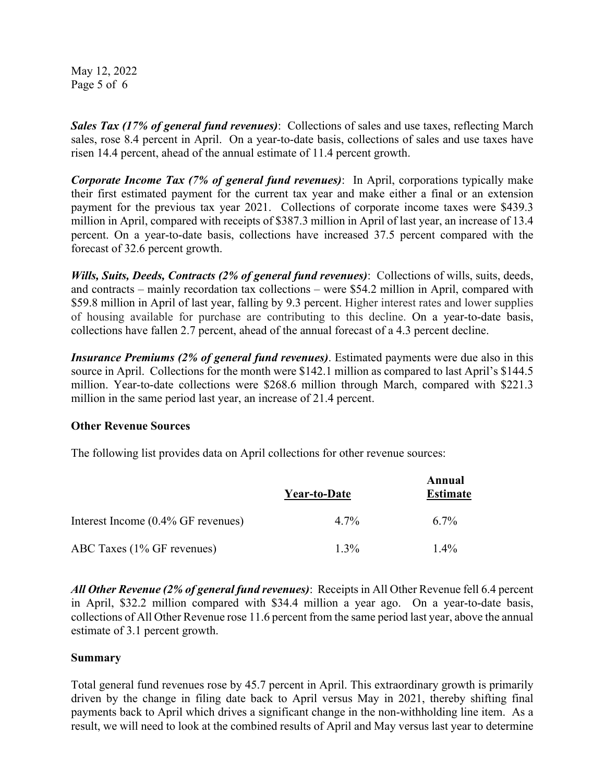May 12, 2022 Page 5 of 6

*Sales Tax (17% of general fund revenues)*: Collections of sales and use taxes, reflecting March sales, rose 8.4 percent in April. On a year-to-date basis, collections of sales and use taxes have risen 14.4 percent, ahead of the annual estimate of 11.4 percent growth.

*Corporate Income Tax (7% of general fund revenues)*: In April, corporations typically make their first estimated payment for the current tax year and make either a final or an extension payment for the previous tax year 2021. Collections of corporate income taxes were \$439.3 million in April, compared with receipts of \$387.3 million in April of last year, an increase of 13.4 percent. On a year-to-date basis, collections have increased 37.5 percent compared with the forecast of 32.6 percent growth.

*Wills, Suits, Deeds, Contracts (2% of general fund revenues)*: Collections of wills, suits, deeds, and contracts – mainly recordation tax collections – were \$54.2 million in April, compared with \$59.8 million in April of last year, falling by 9.3 percent. Higher interest rates and lower supplies of housing available for purchase are contributing to this decline. On a year-to-date basis, collections have fallen 2.7 percent, ahead of the annual forecast of a 4.3 percent decline.

*Insurance Premiums (2% of general fund revenues)*. Estimated payments were due also in this source in April. Collections for the month were \$142.1 million as compared to last April's \$144.5 million. Year-to-date collections were \$268.6 million through March, compared with \$221.3 million in the same period last year, an increase of 21.4 percent.

#### **Other Revenue Sources**

The following list provides data on April collections for other revenue sources:

|                                    | Year-to-Date | Annual<br><b>Estimate</b> |
|------------------------------------|--------------|---------------------------|
| Interest Income (0.4% GF revenues) | $4.7\%$      | $6.7\%$                   |
| ABC Taxes (1% GF revenues)         | $1.3\%$      | $1.4\%$                   |

*All Other Revenue (2% of general fund revenues)*: Receipts in All Other Revenue fell 6.4 percent in April, \$32.2 million compared with \$34.4 million a year ago. On a year-to-date basis, collections of All Other Revenue rose 11.6 percent from the same period last year, above the annual estimate of 3.1 percent growth.

## **Summary**

Total general fund revenues rose by 45.7 percent in April. This extraordinary growth is primarily driven by the change in filing date back to April versus May in 2021, thereby shifting final payments back to April which drives a significant change in the non-withholding line item. As a result, we will need to look at the combined results of April and May versus last year to determine